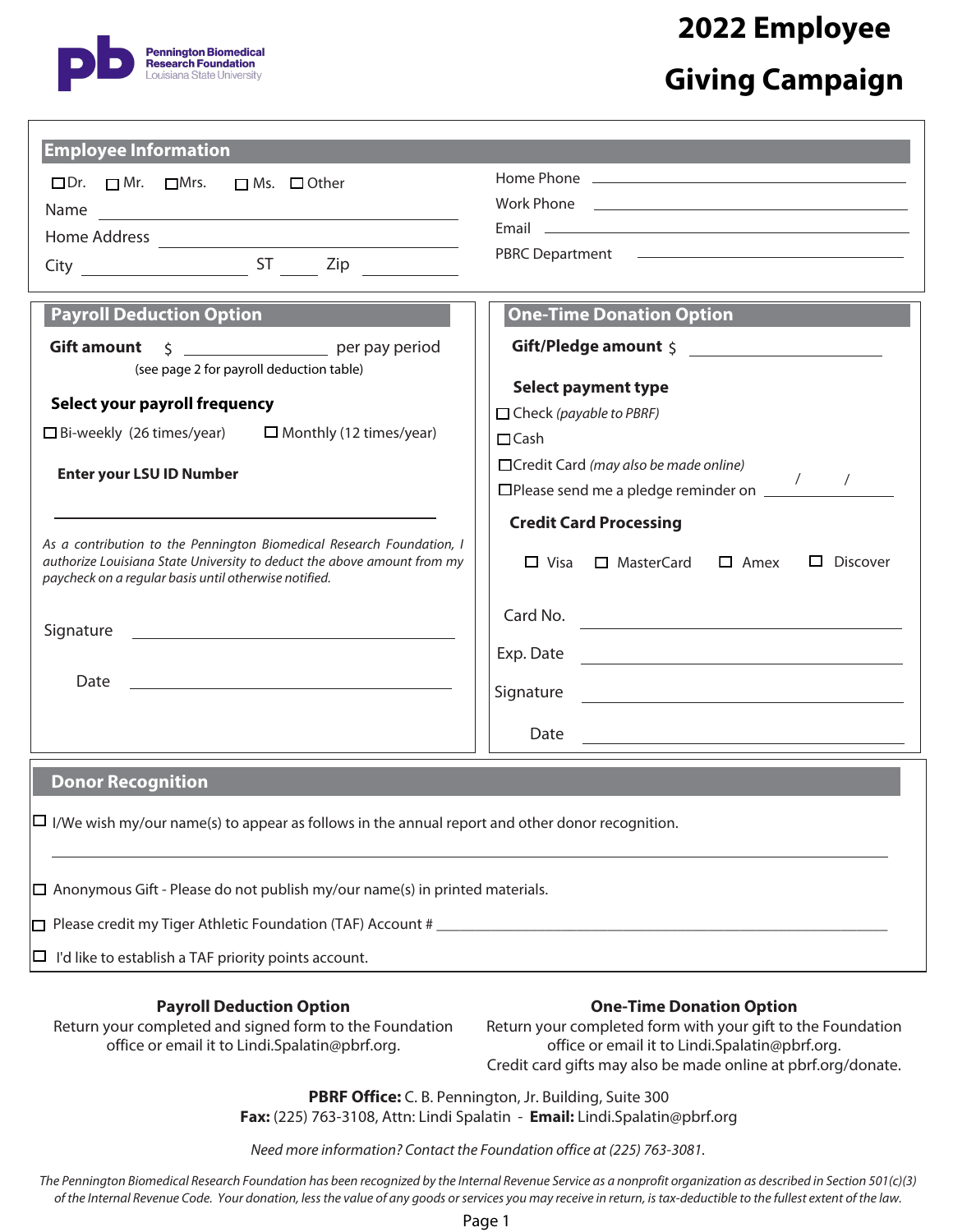

## **2022 Employee Giving Campaign**

| <b>Employee Information</b>                                                                                                      |                                                                                                                                                                                                                                      |  |  |  |
|----------------------------------------------------------------------------------------------------------------------------------|--------------------------------------------------------------------------------------------------------------------------------------------------------------------------------------------------------------------------------------|--|--|--|
| □Dr. □Mr. □Mrs. □Ms. □Other                                                                                                      |                                                                                                                                                                                                                                      |  |  |  |
|                                                                                                                                  |                                                                                                                                                                                                                                      |  |  |  |
|                                                                                                                                  | Email <u>and the community of the community of the community of the community of the community of the community of the community of the community of the community of the community of the community of the community of the com</u> |  |  |  |
| $City$ $ST$ $Zip$ $\frac{1}{\sqrt{1 - (1 - (1 - 1)^2)}}$                                                                         |                                                                                                                                                                                                                                      |  |  |  |
|                                                                                                                                  |                                                                                                                                                                                                                                      |  |  |  |
| <b>Payroll Deduction Option</b>                                                                                                  | <b>One-Time Donation Option</b>                                                                                                                                                                                                      |  |  |  |
| \$    per pay period<br><b>Gift amount</b>                                                                                       | Gift/Pledge amount \$                                                                                                                                                                                                                |  |  |  |
| (see page 2 for payroll deduction table)                                                                                         |                                                                                                                                                                                                                                      |  |  |  |
| Select your payroll frequency                                                                                                    | <b>Select payment type</b>                                                                                                                                                                                                           |  |  |  |
| $\Box$ Bi-weekly (26 times/year) $\Box$ Monthly (12 times/year)                                                                  | $\Box$ Check (payable to PBRF)                                                                                                                                                                                                       |  |  |  |
|                                                                                                                                  | $\Box$ Cash                                                                                                                                                                                                                          |  |  |  |
| <b>Enter your LSU ID Number</b>                                                                                                  | □ Credit Card (may also be made online)<br>$\Box$ Please send me a pledge reminder on $\frac{1}{\Box}$                                                                                                                               |  |  |  |
|                                                                                                                                  |                                                                                                                                                                                                                                      |  |  |  |
| As a contribution to the Pennington Biomedical Research Foundation, I                                                            | <b>Credit Card Processing</b>                                                                                                                                                                                                        |  |  |  |
| authorize Louisiana State University to deduct the above amount from my<br>paycheck on a regular basis until otherwise notified. | $\Box$ Visa $\Box$ MasterCard $\Box$ Amex<br>$\Box$ Discover                                                                                                                                                                         |  |  |  |
|                                                                                                                                  |                                                                                                                                                                                                                                      |  |  |  |
|                                                                                                                                  | Card No.                                                                                                                                                                                                                             |  |  |  |
|                                                                                                                                  |                                                                                                                                                                                                                                      |  |  |  |
|                                                                                                                                  |                                                                                                                                                                                                                                      |  |  |  |
|                                                                                                                                  |                                                                                                                                                                                                                                      |  |  |  |
|                                                                                                                                  | Date and the contract of the contract of the contract of the contract of the contract of the contract of the contract of the contract of the contract of the contract of the contract of the contract of the contract of the c       |  |  |  |
| <b>Donor Recognition</b>                                                                                                         |                                                                                                                                                                                                                                      |  |  |  |
| $\Box$ I/We wish my/our name(s) to appear as follows in the annual report and other donor recognition.                           |                                                                                                                                                                                                                                      |  |  |  |
|                                                                                                                                  |                                                                                                                                                                                                                                      |  |  |  |
| $\square$ Anonymous Gift - Please do not publish my/our name(s) in printed materials.                                            |                                                                                                                                                                                                                                      |  |  |  |
|                                                                                                                                  |                                                                                                                                                                                                                                      |  |  |  |
| I'd like to establish a TAF priority points account.                                                                             |                                                                                                                                                                                                                                      |  |  |  |
|                                                                                                                                  |                                                                                                                                                                                                                                      |  |  |  |
| <b>Payroll Deduction Option</b><br>Return your completed and signed form to the Foundation                                       | <b>One-Time Donation Option</b><br>Return your completed form with your gift to the Foundation                                                                                                                                       |  |  |  |
| office or email it to Lindi.Spalatin@pbrf.org.                                                                                   | office or email it to Lindi.Spalatin@pbrf.org.<br>Credit card gifts may also be made online at pbrf.org/donate.                                                                                                                      |  |  |  |

**PBRF Office:** C. B. Pennington, Jr. Building, Suite 300 **Fax:** (225) 763-3108, Attn: Lindi Spalatin - **Email:** Lindi.Spalatin@pbrf.org

Need more information? Contact the Foundation office at (225) 763-3081.

The Pennington Biomedical Research Foundation has been recognized by the Internal Revenue Service as a nonprofit organization as described in Section 501(c)(3) of the Internal Revenue Code. Your donation, less the value of any goods or services you may receive in return, is tax-deductible to the fullest extent of the law.